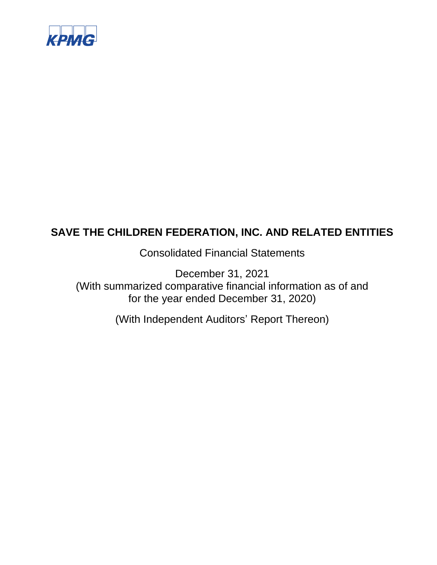

Consolidated Financial Statements

December 31, 2021 (With summarized comparative financial information as of and for the year ended December 31, 2020)

(With Independent Auditors' Report Thereon)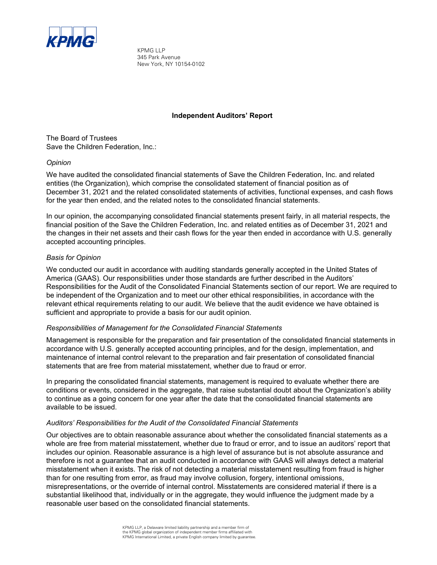

KPMG LLP 345 Park Avenue New York, NY 10154-0102

# **Independent Auditors' Report**

The Board of Trustees Save the Children Federation, Inc.:

# *Opinion*

We have audited the consolidated financial statements of Save the Children Federation, Inc. and related entities (the Organization), which comprise the consolidated statement of financial position as of December 31, 2021 and the related consolidated statements of activities, functional expenses, and cash flows for the year then ended, and the related notes to the consolidated financial statements.

In our opinion, the accompanying consolidated financial statements present fairly, in all material respects, the financial position of the Save the Children Federation, Inc. and related entities as of December 31, 2021 and the changes in their net assets and their cash flows for the year then ended in accordance with U.S. generally accepted accounting principles.

# *Basis for Opinion*

We conducted our audit in accordance with auditing standards generally accepted in the United States of America (GAAS). Our responsibilities under those standards are further described in the Auditors' Responsibilities for the Audit of the Consolidated Financial Statements section of our report. We are required to be independent of the Organization and to meet our other ethical responsibilities, in accordance with the relevant ethical requirements relating to our audit. We believe that the audit evidence we have obtained is sufficient and appropriate to provide a basis for our audit opinion.

#### *Responsibilities of Management for the Consolidated Financial Statements*

Management is responsible for the preparation and fair presentation of the consolidated financial statements in accordance with U.S. generally accepted accounting principles, and for the design, implementation, and maintenance of internal control relevant to the preparation and fair presentation of consolidated financial statements that are free from material misstatement, whether due to fraud or error.

In preparing the consolidated financial statements, management is required to evaluate whether there are conditions or events, considered in the aggregate, that raise substantial doubt about the Organization's ability to continue as a going concern for one year after the date that the consolidated financial statements are available to be issued.

#### *Auditors' Responsibilities for the Audit of the Consolidated Financial Statements*

Our objectives are to obtain reasonable assurance about whether the consolidated financial statements as a whole are free from material misstatement, whether due to fraud or error, and to issue an auditors' report that includes our opinion. Reasonable assurance is a high level of assurance but is not absolute assurance and therefore is not a guarantee that an audit conducted in accordance with GAAS will always detect a material misstatement when it exists. The risk of not detecting a material misstatement resulting from fraud is higher than for one resulting from error, as fraud may involve collusion, forgery, intentional omissions, misrepresentations, or the override of internal control. Misstatements are considered material if there is a substantial likelihood that, individually or in the aggregate, they would influence the judgment made by a reasonable user based on the consolidated financial statements.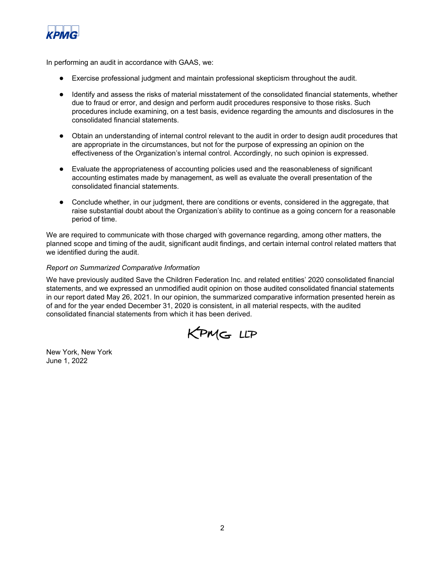

In performing an audit in accordance with GAAS, we:

- Exercise professional judgment and maintain professional skepticism throughout the audit.
- Identify and assess the risks of material misstatement of the consolidated financial statements, whether due to fraud or error, and design and perform audit procedures responsive to those risks. Such procedures include examining, on a test basis, evidence regarding the amounts and disclosures in the consolidated financial statements.
- Obtain an understanding of internal control relevant to the audit in order to design audit procedures that are appropriate in the circumstances, but not for the purpose of expressing an opinion on the effectiveness of the Organization's internal control. Accordingly, no such opinion is expressed.
- Evaluate the appropriateness of accounting policies used and the reasonableness of significant accounting estimates made by management, as well as evaluate the overall presentation of the consolidated financial statements.
- Conclude whether, in our judgment, there are conditions or events, considered in the aggregate, that raise substantial doubt about the Organization's ability to continue as a going concern for a reasonable period of time.

We are required to communicate with those charged with governance regarding, among other matters, the planned scope and timing of the audit, significant audit findings, and certain internal control related matters that we identified during the audit.

# *Report on Summarized Comparative Information*

We have previously audited Save the Children Federation Inc. and related entities' 2020 consolidated financial statements, and we expressed an unmodified audit opinion on those audited consolidated financial statements in our report dated May 26, 2021. In our opinion, the summarized comparative information presented herein as of and for the year ended December 31, 2020 is consistent, in all material respects, with the audited consolidated financial statements from which it has been derived.



New York, New York June 1, 2022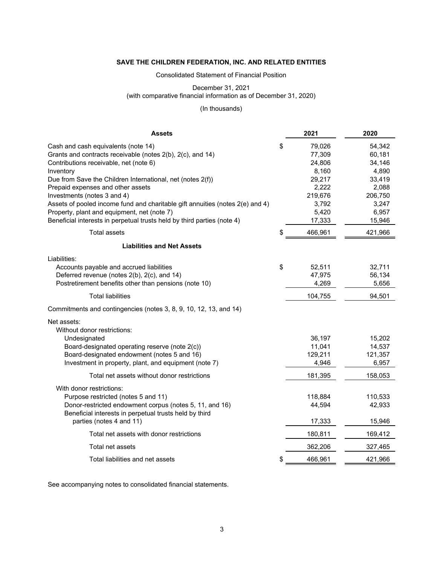Consolidated Statement of Financial Position

December 31, 2021

(with comparative financial information as of December 31, 2020)

#### (In thousands)

| <b>Assets</b>                                                                                                                                                                                                                          | 2021                                 | 2020                                 |
|----------------------------------------------------------------------------------------------------------------------------------------------------------------------------------------------------------------------------------------|--------------------------------------|--------------------------------------|
| Cash and cash equivalents (note 14)<br>Grants and contracts receivable (notes 2(b), 2(c), and 14)<br>Contributions receivable, net (note 6)                                                                                            | \$<br>79,026<br>77,309<br>24,806     | 54,342<br>60,181<br>34,146           |
| Inventory<br>Due from Save the Children International, net (notes 2(f))<br>Prepaid expenses and other assets                                                                                                                           | 8,160<br>29,217<br>2,222             | 4,890<br>33,419<br>2,088             |
| Investments (notes 3 and 4)<br>Assets of pooled income fund and charitable gift annuities (notes 2(e) and 4)<br>Property, plant and equipment, net (note 7)<br>Beneficial interests in perpetual trusts held by third parties (note 4) | 219,676<br>3,792<br>5,420<br>17,333  | 206,750<br>3,247<br>6,957<br>15,946  |
| <b>Total assets</b>                                                                                                                                                                                                                    | \$<br>466,961                        | 421,966                              |
| <b>Liabilities and Net Assets</b>                                                                                                                                                                                                      |                                      |                                      |
| Liabilities:<br>Accounts payable and accrued liabilities<br>Deferred revenue (notes 2(b), 2(c), and 14)<br>Postretirement benefits other than pensions (note 10)                                                                       | \$<br>52,511<br>47,975<br>4,269      | 32,711<br>56,134<br>5,656            |
| <b>Total liabilities</b>                                                                                                                                                                                                               | 104,755                              | 94,501                               |
| Commitments and contingencies (notes 3, 8, 9, 10, 12, 13, and 14)                                                                                                                                                                      |                                      |                                      |
| Net assets:<br>Without donor restrictions:                                                                                                                                                                                             |                                      |                                      |
| Undesignated<br>Board-designated operating reserve (note 2(c))<br>Board-designated endowment (notes 5 and 16)<br>Investment in property, plant, and equipment (note 7)                                                                 | 36,197<br>11,041<br>129,211<br>4,946 | 15,202<br>14,537<br>121,357<br>6,957 |
| Total net assets without donor restrictions                                                                                                                                                                                            | 181,395                              | 158,053                              |
| With donor restrictions:<br>Purpose restricted (notes 5 and 11)<br>Donor-restricted endowment corpus (notes 5, 11, and 16)<br>Beneficial interests in perpetual trusts held by third                                                   | 118,884<br>44,594                    | 110,533<br>42,933                    |
| parties (notes 4 and 11)                                                                                                                                                                                                               | 17,333                               | 15,946                               |
| Total net assets with donor restrictions                                                                                                                                                                                               | 180,811                              | 169,412                              |
| Total net assets                                                                                                                                                                                                                       | 362,206                              | 327,465                              |
| Total liabilities and net assets                                                                                                                                                                                                       | \$<br>466,961                        | 421,966                              |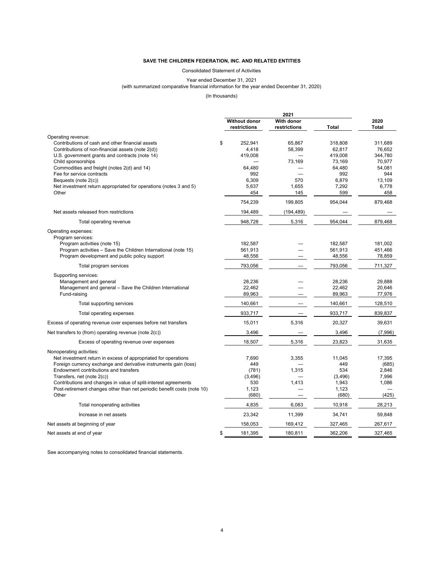Consolidated Statement of Activities

Year ended December 31, 2021

(with summarized comparative financial information for the year ended December 31, 2020)

(In thousands)

|                                                                         |                               | 2021                       |              |                      |
|-------------------------------------------------------------------------|-------------------------------|----------------------------|--------------|----------------------|
|                                                                         | Without donor<br>restrictions | With donor<br>restrictions | <b>Total</b> | 2020<br><b>Total</b> |
| Operating revenue:                                                      |                               |                            |              |                      |
| Contributions of cash and other financial assets                        | \$<br>252,941                 | 65,867                     | 318,808      | 311,689              |
| Contributions of non-financial assets (note 2(d))                       | 4,418                         | 58,399                     | 62,817       | 76,652               |
| U.S. government grants and contracts (note 14)                          | 419,008                       |                            | 419,008      | 344,780              |
| Child sponsorships                                                      |                               | 73,169                     | 73,169       | 70,977               |
| Commodities and freight (notes 2(d) and 14)                             | 64,480                        |                            | 64,480       | 54,081               |
| Fee for service contracts                                               | 992                           |                            | 992          | 944                  |
| Bequests (note 2(c))                                                    | 6,309                         | 570                        | 6.879        | 13.109               |
| Net investment return appropriated for operations (notes 3 and 5)       | 5,637                         | 1,655                      | 7,292        | 6,778                |
| Other                                                                   | 454                           | 145                        | 599          | 458                  |
|                                                                         | 754,239                       | 199,805                    | 954,044      | 879,468              |
| Net assets released from restrictions                                   | 194,489                       | (194, 489)                 |              |                      |
| Total operating revenue                                                 | 948,728                       | 5,316                      | 954,044      | 879,468              |
| Operating expenses:                                                     |                               |                            |              |                      |
| Program services:                                                       |                               |                            |              |                      |
| Program activities (note 15)                                            | 182,587                       |                            | 182,587      | 181,002              |
| Program activities - Save the Children International (note 15)          | 561,913                       |                            | 561,913      | 451,466              |
| Program development and public policy support                           | 48,556                        |                            | 48,556       | 78,859               |
|                                                                         |                               |                            |              |                      |
| Total program services                                                  | 793,056                       |                            | 793,056      | 711,327              |
| Supporting services:                                                    |                               |                            |              |                      |
| Management and general                                                  | 28,236                        |                            | 28,236       | 29,888               |
| Management and general - Save the Children International                | 22,462                        |                            | 22,462       | 20,646               |
| Fund-raising                                                            | 89,963                        |                            | 89,963       | 77,976               |
| Total supporting services                                               | 140,661                       |                            | 140,661      | 128,510              |
| Total operating expenses                                                | 933,717                       |                            | 933,717      | 839,837              |
| Excess of operating revenue over expenses before net transfers          | 15,011                        | 5,316                      | 20,327       | 39,631               |
| Net transfers to (from) operating revenue (note $2(c)$ )                | 3,496                         |                            | 3,496        | (7,996)              |
| Excess of operating revenue over expenses                               | 18,507                        | 5,316                      | 23,823       | 31,635               |
| Nonoperating activities:                                                |                               |                            |              |                      |
| Net investment return in excess of appropriated for operations          | 7,690                         | 3,355                      | 11,045       | 17,395               |
| Foreign currency exchange and derivative instruments gain (loss)        | 449                           |                            | 449          | (685)                |
| Endowment contributions and transfers                                   | (781)                         | 1,315                      | 534          | 2,846                |
| Transfers, net (note 2(c))                                              | (3, 496)                      |                            | (3, 496)     | 7,996                |
| Contributions and changes in value of split-interest agreements         | 530                           | 1,413                      | 1,943        | 1,086                |
| Post-retirement changes other than net periodic benefit costs (note 10) | 1,123                         |                            | 1,123        |                      |
| Other                                                                   | (680)                         |                            | (680)        | (425)                |
| Total nonoperating activities                                           | 4,835                         | 6,083                      | 10,918       | 28,213               |
| Increase in net assets                                                  | 23,342                        | 11,399                     | 34,741       | 59,848               |
| Net assets at beginning of year                                         | 158,053                       | 169,412                    | 327,465      | 267,617              |
| Net assets at end of year                                               | 181,395<br>\$                 | 180,811                    | 362,206      | 327,465              |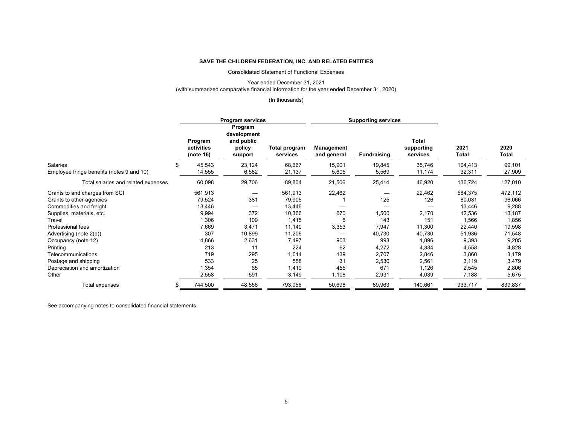Consolidated Statement of Functional Expenses

Year ended December 31, 2021 (with summarized comparative financial information for the year ended December 31, 2020)

#### (In thousands)

|                                           | <b>Program services</b>            |                                                           |                           |                                  | <b>Supporting services</b> |                                        |                      |               |
|-------------------------------------------|------------------------------------|-----------------------------------------------------------|---------------------------|----------------------------------|----------------------------|----------------------------------------|----------------------|---------------|
|                                           | Program<br>activities<br>(note 16) | Program<br>development<br>and public<br>policy<br>support | Total program<br>services | <b>Management</b><br>and general | <b>Fundraising</b>         | <b>Total</b><br>supporting<br>services | 2021<br><b>Total</b> | 2020<br>Total |
| <b>Salaries</b>                           | \$<br>45,543                       | 23,124                                                    | 68,667                    | 15,901                           | 19,845                     | 35,746                                 | 104,413              | 99,101        |
| Employee fringe benefits (notes 9 and 10) | 14,555                             | 6,582                                                     | 21,137                    | 5,605                            | 5,569                      | 11,174                                 | 32,311               | 27,909        |
| Total salaries and related expenses       | 60,098                             | 29,706                                                    | 89,804                    | 21,506                           | 25,414                     | 46,920                                 | 136,724              | 127,010       |
| Grants to and charges from SCI            | 561,913                            | —                                                         | 561,913                   | 22,462                           |                            | 22,462                                 | 584,375              | 472,112       |
| Grants to other agencies                  | 79,524                             | 381                                                       | 79,905                    |                                  | 125                        | 126                                    | 80,031               | 96,066        |
| Commodities and freight                   | 13,446                             |                                                           | 13,446                    |                                  |                            |                                        | 13,446               | 9,288         |
| Supplies, materials, etc.                 | 9,994                              | 372                                                       | 10,366                    | 670                              | 1,500                      | 2,170                                  | 12,536               | 13,187        |
| Travel                                    | 1,306                              | 109                                                       | 1,415                     | 8                                | 143                        | 151                                    | 1,566                | 1,856         |
| Professional fees                         | 7,669                              | 3,471                                                     | 11,140                    | 3,353                            | 7,947                      | 11,300                                 | 22,440               | 19,598        |
| Advertising (note 2(d))                   | 307                                | 10,899                                                    | 11,206                    |                                  | 40,730                     | 40,730                                 | 51,936               | 71,548        |
| Occupancy (note 12)                       | 4,866                              | 2,631                                                     | 7,497                     | 903                              | 993                        | 1,896                                  | 9,393                | 9,205         |
| Printing                                  | 213                                | 11                                                        | 224                       | 62                               | 4,272                      | 4,334                                  | 4,558                | 4,828         |
| Telecommunications                        | 719                                | 295                                                       | 1,014                     | 139                              | 2,707                      | 2,846                                  | 3,860                | 3,179         |
| Postage and shipping                      | 533                                | 25                                                        | 558                       | 31                               | 2,530                      | 2,561                                  | 3,119                | 3,479         |
| Depreciation and amortization             | 1,354                              | 65                                                        | 1,419                     | 455                              | 671                        | 1,126                                  | 2,545                | 2,806         |
| Other                                     | 2,558                              | 591                                                       | 3,149                     | 1,108                            | 2,931                      | 4,039                                  | 7,188                | 5,675         |
| Total expenses                            | 744,500                            | 48,556                                                    | 793,056                   | 50,698                           | 89,963                     | 140,661                                | 933,717              | 839,837       |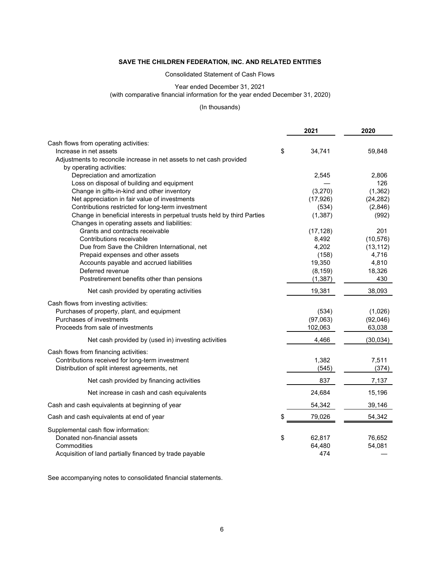#### Consolidated Statement of Cash Flows

# Year ended December 31, 2021

(with comparative financial information for the year ended December 31, 2020)

#### (In thousands)

|                                                                                                    | 2021               | 2020                 |
|----------------------------------------------------------------------------------------------------|--------------------|----------------------|
| Cash flows from operating activities:                                                              |                    |                      |
| Increase in net assets                                                                             | \$<br>34,741       | 59,848               |
| Adjustments to reconcile increase in net assets to net cash provided                               |                    |                      |
| by operating activities:                                                                           |                    |                      |
| Depreciation and amortization                                                                      | 2,545              | 2,806                |
| Loss on disposal of building and equipment                                                         |                    | 126                  |
| Change in gifts-in-kind and other inventory                                                        | (3,270)            | (1, 362)             |
| Net appreciation in fair value of investments<br>Contributions restricted for long-term investment | (17, 926)<br>(534) | (24, 282)<br>(2,846) |
| Change in beneficial interests in perpetual trusts held by third Parties                           | (1, 387)           | (992)                |
| Changes in operating assets and liabilities:                                                       |                    |                      |
| Grants and contracts receivable                                                                    | (17, 128)          | 201                  |
| Contributions receivable                                                                           | 8,492              | (10, 576)            |
| Due from Save the Children International, net                                                      | 4,202              | (13, 112)            |
| Prepaid expenses and other assets                                                                  | (158)              | 4,716                |
| Accounts payable and accrued liabilities                                                           | 19,350             | 4,810                |
| Deferred revenue                                                                                   | (8, 159)           | 18,326               |
| Postretirement benefits other than pensions                                                        | (1, 387)           | 430                  |
| Net cash provided by operating activities                                                          | 19,381             | 38,093               |
| Cash flows from investing activities:                                                              |                    |                      |
| Purchases of property, plant, and equipment                                                        | (534)              | (1,026)              |
| Purchases of investments                                                                           | (97,063)           | (92,046)             |
| Proceeds from sale of investments                                                                  | 102,063            | 63,038               |
| Net cash provided by (used in) investing activities                                                | 4,466              | (30, 034)            |
| Cash flows from financing activities:                                                              |                    |                      |
| Contributions received for long-term investment                                                    | 1,382              | 7,511                |
| Distribution of split interest agreements, net                                                     | (545)              | (374)                |
| Net cash provided by financing activities                                                          | 837                | 7,137                |
| Net increase in cash and cash equivalents                                                          | 24,684             | 15,196               |
| Cash and cash equivalents at beginning of year                                                     | 54,342             | 39,146               |
| Cash and cash equivalents at end of year                                                           | \$<br>79,026       | 54,342               |
| Supplemental cash flow information:                                                                |                    |                      |
| Donated non-financial assets                                                                       | \$<br>62,817       | 76,652               |
| Commodities                                                                                        | 64,480             | 54,081               |
| Acquisition of land partially financed by trade payable                                            | 474                |                      |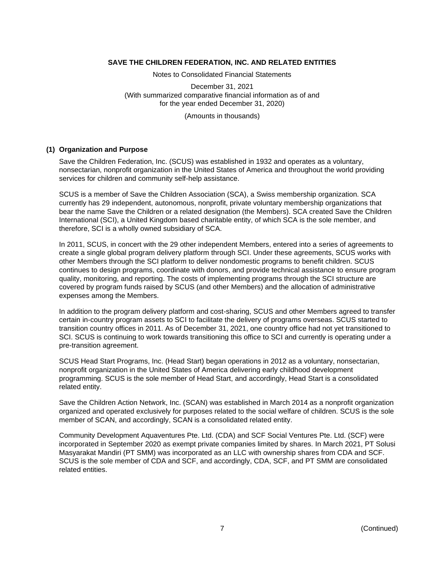Notes to Consolidated Financial Statements

December 31, 2021 (With summarized comparative financial information as of and for the year ended December 31, 2020)

#### (Amounts in thousands)

# **(1) Organization and Purpose**

Save the Children Federation, Inc. (SCUS) was established in 1932 and operates as a voluntary, nonsectarian, nonprofit organization in the United States of America and throughout the world providing services for children and community self-help assistance.

SCUS is a member of Save the Children Association (SCA), a Swiss membership organization. SCA currently has 29 independent, autonomous, nonprofit, private voluntary membership organizations that bear the name Save the Children or a related designation (the Members). SCA created Save the Children International (SCI), a United Kingdom based charitable entity, of which SCA is the sole member, and therefore, SCI is a wholly owned subsidiary of SCA.

In 2011, SCUS, in concert with the 29 other independent Members, entered into a series of agreements to create a single global program delivery platform through SCI. Under these agreements, SCUS works with other Members through the SCI platform to deliver nondomestic programs to benefit children. SCUS continues to design programs, coordinate with donors, and provide technical assistance to ensure program quality, monitoring, and reporting. The costs of implementing programs through the SCI structure are covered by program funds raised by SCUS (and other Members) and the allocation of administrative expenses among the Members.

In addition to the program delivery platform and cost-sharing, SCUS and other Members agreed to transfer certain in-country program assets to SCI to facilitate the delivery of programs overseas. SCUS started to transition country offices in 2011. As of December 31, 2021, one country office had not yet transitioned to SCI. SCUS is continuing to work towards transitioning this office to SCI and currently is operating under a pre-transition agreement.

SCUS Head Start Programs, Inc. (Head Start) began operations in 2012 as a voluntary, nonsectarian, nonprofit organization in the United States of America delivering early childhood development programming. SCUS is the sole member of Head Start, and accordingly, Head Start is a consolidated related entity.

Save the Children Action Network, Inc. (SCAN) was established in March 2014 as a nonprofit organization organized and operated exclusively for purposes related to the social welfare of children. SCUS is the sole member of SCAN, and accordingly, SCAN is a consolidated related entity.

Community Development Aquaventures Pte. Ltd. (CDA) and SCF Social Ventures Pte. Ltd. (SCF) were incorporated in September 2020 as exempt private companies limited by shares. In March 2021, PT Solusi Masyarakat Mandiri (PT SMM) was incorporated as an LLC with ownership shares from CDA and SCF. SCUS is the sole member of CDA and SCF, and accordingly, CDA, SCF, and PT SMM are consolidated related entities.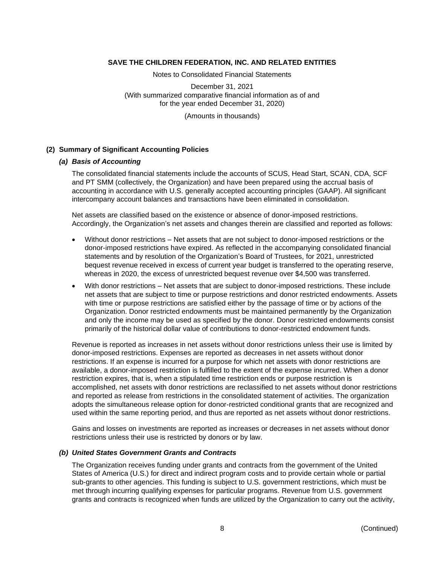Notes to Consolidated Financial Statements

December 31, 2021 (With summarized comparative financial information as of and for the year ended December 31, 2020)

(Amounts in thousands)

# **(2) Summary of Significant Accounting Policies**

#### *(a) Basis of Accounting*

The consolidated financial statements include the accounts of SCUS, Head Start, SCAN, CDA, SCF and PT SMM (collectively, the Organization) and have been prepared using the accrual basis of accounting in accordance with U.S. generally accepted accounting principles (GAAP). All significant intercompany account balances and transactions have been eliminated in consolidation.

Net assets are classified based on the existence or absence of donor-imposed restrictions. Accordingly, the Organization's net assets and changes therein are classified and reported as follows:

- Without donor restrictions Net assets that are not subject to donor-imposed restrictions or the donor-imposed restrictions have expired. As reflected in the accompanying consolidated financial statements and by resolution of the Organization's Board of Trustees, for 2021, unrestricted bequest revenue received in excess of current year budget is transferred to the operating reserve, whereas in 2020, the excess of unrestricted bequest revenue over \$4,500 was transferred.
- With donor restrictions Net assets that are subject to donor-imposed restrictions. These include net assets that are subject to time or purpose restrictions and donor restricted endowments. Assets with time or purpose restrictions are satisfied either by the passage of time or by actions of the Organization. Donor restricted endowments must be maintained permanently by the Organization and only the income may be used as specified by the donor. Donor restricted endowments consist primarily of the historical dollar value of contributions to donor-restricted endowment funds.

Revenue is reported as increases in net assets without donor restrictions unless their use is limited by donor-imposed restrictions. Expenses are reported as decreases in net assets without donor restrictions. If an expense is incurred for a purpose for which net assets with donor restrictions are available, a donor-imposed restriction is fulfilled to the extent of the expense incurred. When a donor restriction expires, that is, when a stipulated time restriction ends or purpose restriction is accomplished, net assets with donor restrictions are reclassified to net assets without donor restrictions and reported as release from restrictions in the consolidated statement of activities. The organization adopts the simultaneous release option for donor-restricted conditional grants that are recognized and used within the same reporting period, and thus are reported as net assets without donor restrictions.

Gains and losses on investments are reported as increases or decreases in net assets without donor restrictions unless their use is restricted by donors or by law.

#### *(b) United States Government Grants and Contracts*

The Organization receives funding under grants and contracts from the government of the United States of America (U.S.) for direct and indirect program costs and to provide certain whole or partial sub-grants to other agencies. This funding is subject to U.S. government restrictions, which must be met through incurring qualifying expenses for particular programs. Revenue from U.S. government grants and contracts is recognized when funds are utilized by the Organization to carry out the activity,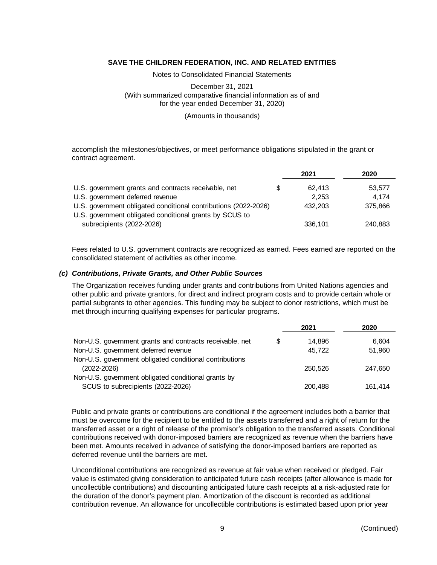Notes to Consolidated Financial Statements

December 31, 2021 (With summarized comparative financial information as of and for the year ended December 31, 2020)

(Amounts in thousands)

accomplish the milestones/objectives, or meet performance obligations stipulated in the grant or contract agreement.

|                                                                 |   | 2021    | 2020    |
|-----------------------------------------------------------------|---|---------|---------|
| U.S. government grants and contracts receivable, net            | S | 62.413  | 53.577  |
| U.S. government deferred revenue                                |   | 2.253   | 4.174   |
| U.S. government obligated conditional contributions (2022-2026) |   | 432.203 | 375,866 |
| U.S. government obligated conditional grants by SCUS to         |   |         |         |
| subrecipients (2022-2026)                                       |   | 336,101 | 240,883 |

Fees related to U.S. government contracts are recognized as earned. Fees earned are reported on the consolidated statement of activities as other income.

#### *(c) Contributions, Private Grants, and Other Public Sources*

The Organization receives funding under grants and contributions from United Nations agencies and other public and private grantors, for direct and indirect program costs and to provide certain whole or partial subgrants to other agencies. This funding may be subject to donor restrictions, which must be met through incurring qualifying expenses for particular programs.

| 6.604   |
|---------|
| 51,960  |
|         |
| 247.650 |
|         |
| 161.414 |
|         |

Public and private grants or contributions are conditional if the agreement includes both a barrier that must be overcome for the recipient to be entitled to the assets transferred and a right of return for the transferred asset or a right of release of the promisor's obligation to the transferred assets. Conditional contributions received with donor-imposed barriers are recognized as revenue when the barriers have been met. Amounts received in advance of satisfying the donor-imposed barriers are reported as deferred revenue until the barriers are met.

Unconditional contributions are recognized as revenue at fair value when received or pledged. Fair value is estimated giving consideration to anticipated future cash receipts (after allowance is made for uncollectible contributions) and discounting anticipated future cash receipts at a risk-adjusted rate for the duration of the donor's payment plan. Amortization of the discount is recorded as additional contribution revenue. An allowance for uncollectible contributions is estimated based upon prior year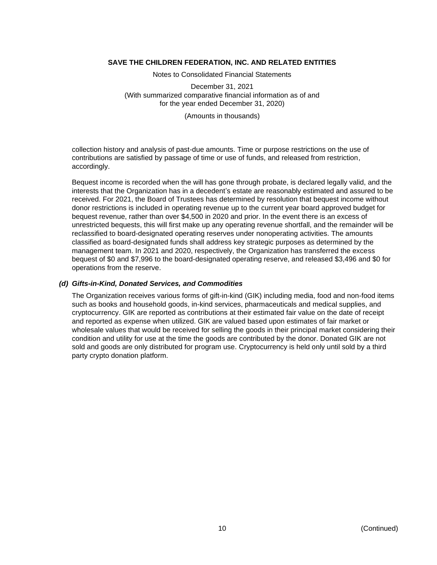Notes to Consolidated Financial Statements

December 31, 2021 (With summarized comparative financial information as of and for the year ended December 31, 2020)

(Amounts in thousands)

collection history and analysis of past-due amounts. Time or purpose restrictions on the use of contributions are satisfied by passage of time or use of funds, and released from restriction, accordingly.

Bequest income is recorded when the will has gone through probate, is declared legally valid, and the interests that the Organization has in a decedent's estate are reasonably estimated and assured to be received. For 2021, the Board of Trustees has determined by resolution that bequest income without donor restrictions is included in operating revenue up to the current year board approved budget for bequest revenue, rather than over \$4,500 in 2020 and prior. In the event there is an excess of unrestricted bequests, this will first make up any operating revenue shortfall, and the remainder will be reclassified to board-designated operating reserves under nonoperating activities. The amounts classified as board-designated funds shall address key strategic purposes as determined by the management team. In 2021 and 2020, respectively, the Organization has transferred the excess bequest of \$0 and \$7,996 to the board-designated operating reserve, and released \$3,496 and \$0 for operations from the reserve.

#### *(d) Gifts-in-Kind, Donated Services, and Commodities*

The Organization receives various forms of gift-in-kind (GIK) including media, food and non-food items such as books and household goods, in-kind services, pharmaceuticals and medical supplies, and cryptocurrency. GIK are reported as contributions at their estimated fair value on the date of receipt and reported as expense when utilized. GIK are valued based upon estimates of fair market or wholesale values that would be received for selling the goods in their principal market considering their condition and utility for use at the time the goods are contributed by the donor. Donated GIK are not sold and goods are only distributed for program use. Cryptocurrency is held only until sold by a third party crypto donation platform.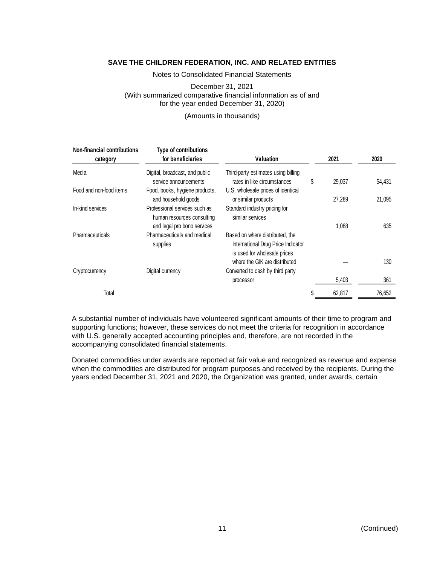Notes to Consolidated Financial Statements

# December 31, 2021 (With summarized comparative financial information as of and for the year ended December 31, 2020)

#### (Amounts in thousands)

| Non-financial contributions<br>category | Type of contributions<br>for beneficiaries                                                 | Valuation                                                                                             |   | 2021   | 2020   |
|-----------------------------------------|--------------------------------------------------------------------------------------------|-------------------------------------------------------------------------------------------------------|---|--------|--------|
| Media                                   | Digital, broadcast, and public<br>service announcements                                    | Third-party estimates using billing<br>rates in like circumstances                                    | S | 29,037 | 54,431 |
| Food and non-food items                 | Food, books, hygiene products,<br>and household goods                                      | U.S. wholesale prices of identical<br>or similar products                                             |   | 27,289 | 21,095 |
| In-kind services                        | Professional services such as<br>human resources consulting<br>and legal pro bono services | Standard industry pricing for<br>similar services                                                     |   | 1,088  | 635    |
| Pharmaceuticals                         | Pharmaceuticals and medical<br>supplies                                                    | Based on where distributed, the<br>International Drug Price Indicator<br>is used for wholesale prices |   |        |        |
| Cryptocurrency                          | Digital currency                                                                           | where the GIK are distributed<br>Converted to cash by third party                                     |   |        | 130    |
|                                         |                                                                                            | processor                                                                                             |   | 5,403  | 361    |
| Total                                   |                                                                                            |                                                                                                       |   | 62,817 | 76,652 |

A substantial number of individuals have volunteered significant amounts of their time to program and supporting functions; however, these services do not meet the criteria for recognition in accordance with U.S. generally accepted accounting principles and, therefore, are not recorded in the accompanying consolidated financial statements.

Donated commodities under awards are reported at fair value and recognized as revenue and expense when the commodities are distributed for program purposes and received by the recipients. During the years ended December 31, 2021 and 2020, the Organization was granted, under awards, certain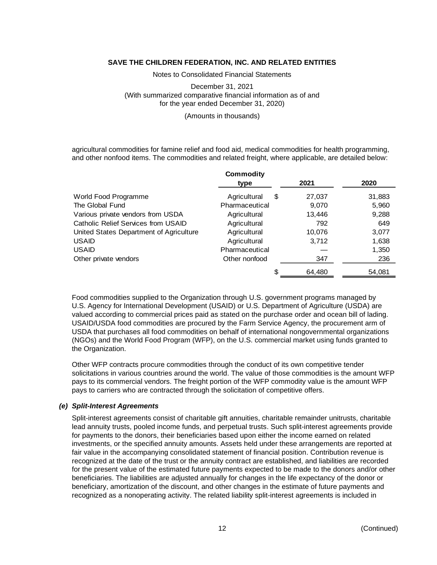Notes to Consolidated Financial Statements

December 31, 2021 (With summarized comparative financial information as of and for the year ended December 31, 2020)

(Amounts in thousands)

agricultural commodities for famine relief and food aid, medical commodities for health programming, and other nonfood items. The commodities and related freight, where applicable, are detailed below:

|                                            | <b>Commodity</b>   |        |        |
|--------------------------------------------|--------------------|--------|--------|
|                                            | type               | 2021   | 2020   |
| World Food Programme                       | Agricultural<br>\$ | 27,037 | 31,883 |
| The Global Fund                            | Pharmaceutical     | 9,070  | 5,960  |
| Various private vendors from USDA          | Agricultural       | 13,446 | 9,288  |
| <b>Catholic Relief Services from USAID</b> | Agricultural       | 792    | 649    |
| United States Department of Agriculture    | Agricultural       | 10,076 | 3,077  |
| <b>USAID</b>                               | Agricultural       | 3,712  | 1,638  |
| <b>USAID</b>                               | Pharmaceutical     |        | 1,350  |
| Other private vendors                      | Other nonfood      | 347    | 236    |
|                                            | \$                 | 64,480 | 54,081 |

Food commodities supplied to the Organization through U.S. government programs managed by U.S. Agency for International Development (USAID) or U.S. Department of Agriculture (USDA) are valued according to commercial prices paid as stated on the purchase order and ocean bill of lading. USAID/USDA food commodities are procured by the Farm Service Agency, the procurement arm of USDA that purchases all food commodities on behalf of international nongovernmental organizations (NGOs) and the World Food Program (WFP), on the U.S. commercial market using funds granted to the Organization.

Other WFP contracts procure commodities through the conduct of its own competitive tender solicitations in various countries around the world. The value of those commodities is the amount WFP pays to its commercial vendors. The freight portion of the WFP commodity value is the amount WFP pays to carriers who are contracted through the solicitation of competitive offers.

#### *(e) Split-Interest Agreements*

Split-interest agreements consist of charitable gift annuities, charitable remainder unitrusts, charitable lead annuity trusts, pooled income funds, and perpetual trusts. Such split-interest agreements provide for payments to the donors, their beneficiaries based upon either the income earned on related investments, or the specified annuity amounts. Assets held under these arrangements are reported at fair value in the accompanying consolidated statement of financial position. Contribution revenue is recognized at the date of the trust or the annuity contract are established, and liabilities are recorded for the present value of the estimated future payments expected to be made to the donors and/or other beneficiaries. The liabilities are adjusted annually for changes in the life expectancy of the donor or beneficiary, amortization of the discount, and other changes in the estimate of future payments and recognized as a nonoperating activity. The related liability split-interest agreements is included in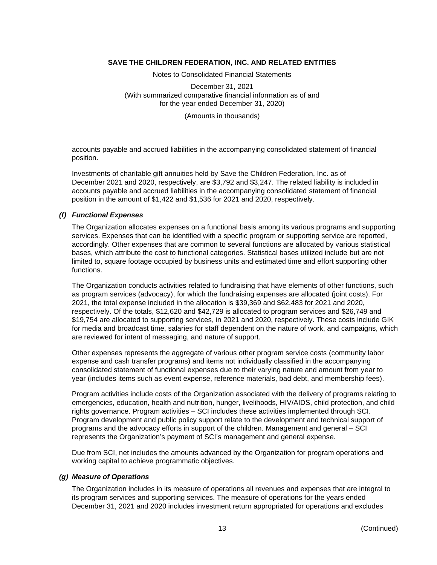Notes to Consolidated Financial Statements

December 31, 2021 (With summarized comparative financial information as of and for the year ended December 31, 2020)

(Amounts in thousands)

accounts payable and accrued liabilities in the accompanying consolidated statement of financial position.

Investments of charitable gift annuities held by Save the Children Federation, Inc. as of December 2021 and 2020, respectively, are \$3,792 and \$3,247. The related liability is included in accounts payable and accrued liabilities in the accompanying consolidated statement of financial position in the amount of \$1,422 and \$1,536 for 2021 and 2020, respectively.

# *(f) Functional Expenses*

The Organization allocates expenses on a functional basis among its various programs and supporting services. Expenses that can be identified with a specific program or supporting service are reported, accordingly. Other expenses that are common to several functions are allocated by various statistical bases, which attribute the cost to functional categories. Statistical bases utilized include but are not limited to, square footage occupied by business units and estimated time and effort supporting other functions.

The Organization conducts activities related to fundraising that have elements of other functions, such as program services (advocacy), for which the fundraising expenses are allocated (joint costs). For 2021, the total expense included in the allocation is \$39,369 and \$62,483 for 2021 and 2020, respectively. Of the totals, \$12,620 and \$42,729 is allocated to program services and \$26,749 and \$19,754 are allocated to supporting services, in 2021 and 2020, respectively. These costs include GIK for media and broadcast time, salaries for staff dependent on the nature of work, and campaigns, which are reviewed for intent of messaging, and nature of support.

Other expenses represents the aggregate of various other program service costs (community labor expense and cash transfer programs) and items not individually classified in the accompanying consolidated statement of functional expenses due to their varying nature and amount from year to year (includes items such as event expense, reference materials, bad debt, and membership fees).

Program activities include costs of the Organization associated with the delivery of programs relating to emergencies, education, health and nutrition, hunger, livelihoods, HIV/AIDS, child protection, and child rights governance. Program activities – SCI includes these activities implemented through SCI. Program development and public policy support relate to the development and technical support of programs and the advocacy efforts in support of the children. Management and general – SCI represents the Organization's payment of SCI's management and general expense.

Due from SCI, net includes the amounts advanced by the Organization for program operations and working capital to achieve programmatic objectives.

#### *(g) Measure of Operations*

The Organization includes in its measure of operations all revenues and expenses that are integral to its program services and supporting services. The measure of operations for the years ended December 31, 2021 and 2020 includes investment return appropriated for operations and excludes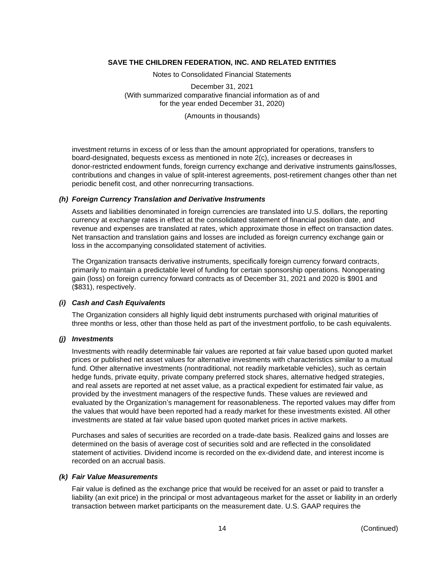Notes to Consolidated Financial Statements

December 31, 2021 (With summarized comparative financial information as of and for the year ended December 31, 2020)

(Amounts in thousands)

investment returns in excess of or less than the amount appropriated for operations, transfers to board-designated, bequests excess as mentioned in note 2(c), increases or decreases in donor-restricted endowment funds, foreign currency exchange and derivative instruments gains/losses, contributions and changes in value of split-interest agreements, post-retirement changes other than net periodic benefit cost, and other nonrecurring transactions.

#### *(h) Foreign Currency Translation and Derivative Instruments*

Assets and liabilities denominated in foreign currencies are translated into U.S. dollars, the reporting currency at exchange rates in effect at the consolidated statement of financial position date, and revenue and expenses are translated at rates, which approximate those in effect on transaction dates. Net transaction and translation gains and losses are included as foreign currency exchange gain or loss in the accompanying consolidated statement of activities.

The Organization transacts derivative instruments, specifically foreign currency forward contracts, primarily to maintain a predictable level of funding for certain sponsorship operations. Nonoperating gain (loss) on foreign currency forward contracts as of December 31, 2021 and 2020 is \$901 and (\$831), respectively.

# *(i) Cash and Cash Equivalents*

The Organization considers all highly liquid debt instruments purchased with original maturities of three months or less, other than those held as part of the investment portfolio, to be cash equivalents.

#### *(j) Investments*

Investments with readily determinable fair values are reported at fair value based upon quoted market prices or published net asset values for alternative investments with characteristics similar to a mutual fund. Other alternative investments (nontraditional, not readily marketable vehicles), such as certain hedge funds, private equity, private company preferred stock shares, alternative hedged strategies, and real assets are reported at net asset value, as a practical expedient for estimated fair value, as provided by the investment managers of the respective funds. These values are reviewed and evaluated by the Organization's management for reasonableness. The reported values may differ from the values that would have been reported had a ready market for these investments existed. All other investments are stated at fair value based upon quoted market prices in active markets.

Purchases and sales of securities are recorded on a trade-date basis. Realized gains and losses are determined on the basis of average cost of securities sold and are reflected in the consolidated statement of activities. Dividend income is recorded on the ex-dividend date, and interest income is recorded on an accrual basis.

# *(k) Fair Value Measurements*

Fair value is defined as the exchange price that would be received for an asset or paid to transfer a liability (an exit price) in the principal or most advantageous market for the asset or liability in an orderly transaction between market participants on the measurement date. U.S. GAAP requires the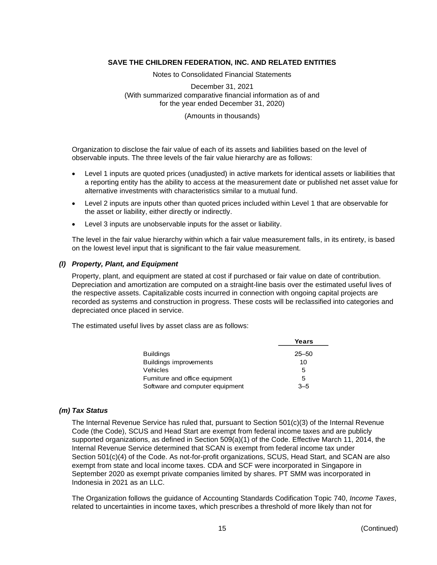Notes to Consolidated Financial Statements

December 31, 2021 (With summarized comparative financial information as of and for the year ended December 31, 2020)

(Amounts in thousands)

Organization to disclose the fair value of each of its assets and liabilities based on the level of observable inputs. The three levels of the fair value hierarchy are as follows:

- Level 1 inputs are quoted prices (unadjusted) in active markets for identical assets or liabilities that a reporting entity has the ability to access at the measurement date or published net asset value for alternative investments with characteristics similar to a mutual fund.
- Level 2 inputs are inputs other than quoted prices included within Level 1 that are observable for the asset or liability, either directly or indirectly.
- Level 3 inputs are unobservable inputs for the asset or liability.

The level in the fair value hierarchy within which a fair value measurement falls, in its entirety, is based on the lowest level input that is significant to the fair value measurement.

# *(l) Property, Plant, and Equipment*

Property, plant, and equipment are stated at cost if purchased or fair value on date of contribution. Depreciation and amortization are computed on a straight-line basis over the estimated useful lives of the respective assets. Capitalizable costs incurred in connection with ongoing capital projects are recorded as systems and construction in progress. These costs will be reclassified into categories and depreciated once placed in service.

The estimated useful lives by asset class are as follows:

|                                 | Years     |
|---------------------------------|-----------|
| <b>Buildings</b>                | $25 - 50$ |
| Buildings improvements          | 10        |
| Vehicles                        | 5         |
| Furniture and office equipment  | 5         |
| Software and computer equipment | $3 - 5$   |

# *(m) Tax Status*

The Internal Revenue Service has ruled that, pursuant to Section 501(c)(3) of the Internal Revenue Code (the Code), SCUS and Head Start are exempt from federal income taxes and are publicly supported organizations, as defined in Section 509(a)(1) of the Code. Effective March 11, 2014, the Internal Revenue Service determined that SCAN is exempt from federal income tax under Section 501(c)(4) of the Code. As not-for-profit organizations, SCUS, Head Start, and SCAN are also exempt from state and local income taxes. CDA and SCF were incorporated in Singapore in September 2020 as exempt private companies limited by shares. PT SMM was incorporated in Indonesia in 2021 as an LLC.

The Organization follows the guidance of Accounting Standards Codification Topic 740, *Income Taxes*, related to uncertainties in income taxes, which prescribes a threshold of more likely than not for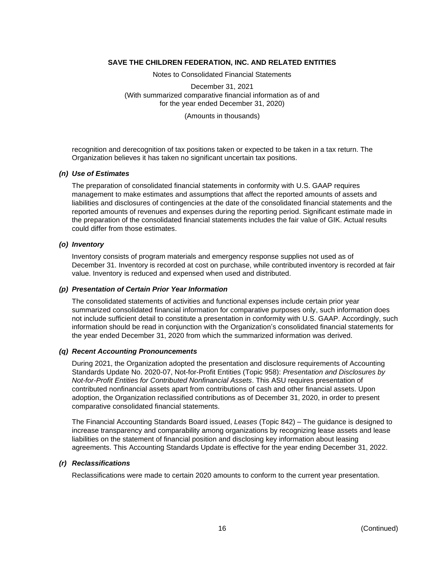Notes to Consolidated Financial Statements

December 31, 2021 (With summarized comparative financial information as of and for the year ended December 31, 2020)

(Amounts in thousands)

recognition and derecognition of tax positions taken or expected to be taken in a tax return. The Organization believes it has taken no significant uncertain tax positions.

#### *(n) Use of Estimates*

The preparation of consolidated financial statements in conformity with U.S. GAAP requires management to make estimates and assumptions that affect the reported amounts of assets and liabilities and disclosures of contingencies at the date of the consolidated financial statements and the reported amounts of revenues and expenses during the reporting period. Significant estimate made in the preparation of the consolidated financial statements includes the fair value of GIK. Actual results could differ from those estimates.

# *(o) Inventory*

Inventory consists of program materials and emergency response supplies not used as of December 31. Inventory is recorded at cost on purchase, while contributed inventory is recorded at fair value. Inventory is reduced and expensed when used and distributed.

#### *(p) Presentation of Certain Prior Year Information*

The consolidated statements of activities and functional expenses include certain prior year summarized consolidated financial information for comparative purposes only, such information does not include sufficient detail to constitute a presentation in conformity with U.S. GAAP. Accordingly, such information should be read in conjunction with the Organization's consolidated financial statements for the year ended December 31, 2020 from which the summarized information was derived.

#### *(q) Recent Accounting Pronouncements*

During 2021, the Organization adopted the presentation and disclosure requirements of Accounting Standards Update No. 2020-07, Not-for-Profit Entities (Topic 958): *Presentation and Disclosures by Not-for-Profit Entities for Contributed Nonfinancial Assets*. This ASU requires presentation of contributed nonfinancial assets apart from contributions of cash and other financial assets. Upon adoption, the Organization reclassified contributions as of December 31, 2020, in order to present comparative consolidated financial statements.

The Financial Accounting Standards Board issued, *Leases* (Topic 842) – The guidance is designed to increase transparency and comparability among organizations by recognizing lease assets and lease liabilities on the statement of financial position and disclosing key information about leasing agreements. This Accounting Standards Update is effective for the year ending December 31, 2022.

#### *(r) Reclassifications*

Reclassifications were made to certain 2020 amounts to conform to the current year presentation.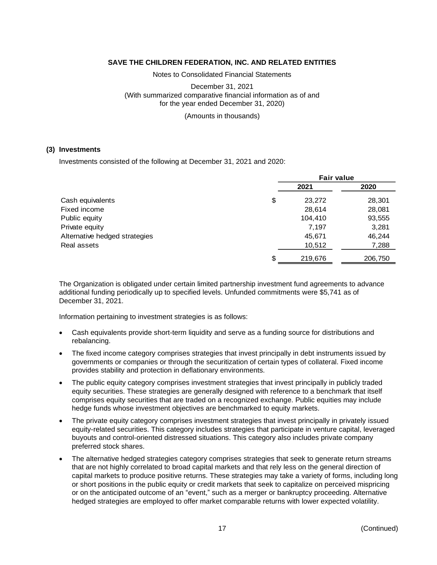Notes to Consolidated Financial Statements

December 31, 2021 (With summarized comparative financial information as of and for the year ended December 31, 2020)

(Amounts in thousands)

#### **(3) Investments**

Investments consisted of the following at December 31, 2021 and 2020:

|                               | <b>Fair value</b> |         |
|-------------------------------|-------------------|---------|
|                               | 2021              | 2020    |
| Cash equivalents              | \$<br>23,272      | 28,301  |
| Fixed income                  | 28,614            | 28,081  |
| Public equity                 | 104,410           | 93,555  |
| Private equity                | 7,197             | 3,281   |
| Alternative hedged strategies | 45,671            | 46,244  |
| Real assets                   | 10,512            | 7,288   |
|                               | \$<br>219,676     | 206,750 |

The Organization is obligated under certain limited partnership investment fund agreements to advance additional funding periodically up to specified levels. Unfunded commitments were \$5,741 as of December 31, 2021.

Information pertaining to investment strategies is as follows:

- Cash equivalents provide short-term liquidity and serve as a funding source for distributions and rebalancing.
- The fixed income category comprises strategies that invest principally in debt instruments issued by governments or companies or through the securitization of certain types of collateral. Fixed income provides stability and protection in deflationary environments.
- The public equity category comprises investment strategies that invest principally in publicly traded equity securities. These strategies are generally designed with reference to a benchmark that itself comprises equity securities that are traded on a recognized exchange. Public equities may include hedge funds whose investment objectives are benchmarked to equity markets.
- The private equity category comprises investment strategies that invest principally in privately issued equity-related securities. This category includes strategies that participate in venture capital, leveraged buyouts and control-oriented distressed situations. This category also includes private company preferred stock shares.
- The alternative hedged strategies category comprises strategies that seek to generate return streams that are not highly correlated to broad capital markets and that rely less on the general direction of capital markets to produce positive returns. These strategies may take a variety of forms, including long or short positions in the public equity or credit markets that seek to capitalize on perceived mispricing or on the anticipated outcome of an "event," such as a merger or bankruptcy proceeding. Alternative hedged strategies are employed to offer market comparable returns with lower expected volatility.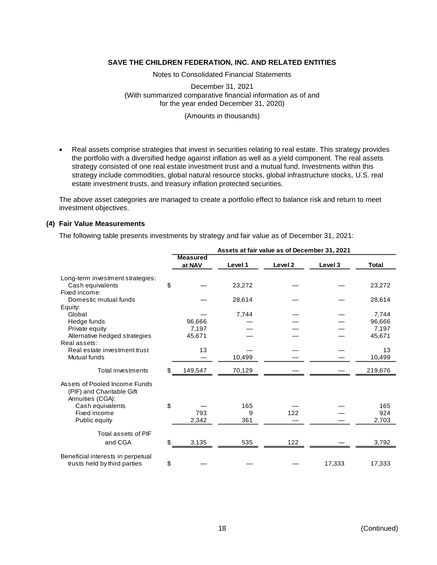Notes to Consolidated Financial Statements

December 31, 2021 (With summarized comparative financial information as of and for the year ended December 31, 2020)

(Amounts in thousands)

• Real assets comprise strategies that invest in securities relating to real estate. This strategy provides the portfolio with a diversified hedge against inflation as well as a yield component. The real assets strategy consisted of one real estate investment trust and a mutual fund. Investments within this strategy include commodities, global natural resource stocks, global infrastructure stocks, U.S. real estate investment trusts, and treasury inflation protected securities.

The above asset categories are managed to create a portfolio effect to balance risk and return to meet investment objectives.

#### **(4) Fair Value Measurements**

The following table presents investments by strategy and fair value as of December 31, 2021:

|                                                                   | Assets at fair value as of December 31, 2021 |         |         |         |              |  |
|-------------------------------------------------------------------|----------------------------------------------|---------|---------|---------|--------------|--|
|                                                                   | <b>Measured</b><br>at NAV                    | Level 1 | Level 2 | Level 3 | <b>Total</b> |  |
| Long-term investment strategies:                                  |                                              |         |         |         |              |  |
| Cash equivalents                                                  | \$                                           | 23,272  |         |         | 23,272       |  |
| Fixed income:                                                     |                                              |         |         |         |              |  |
| Domestic mutual funds                                             |                                              | 28,614  |         |         | 28,614       |  |
| Equity:                                                           |                                              |         |         |         |              |  |
| Global                                                            |                                              | 7,744   |         |         | 7,744        |  |
| Hedge funds                                                       | 96,666                                       |         |         |         | 96,666       |  |
| Private equity                                                    | 7,197                                        |         |         |         | 7,197        |  |
| Alternative hedged strategies                                     | 45,671                                       |         |         |         | 45,671       |  |
| Real assets:<br>Real estate investment trust                      | 13                                           |         |         |         | 13           |  |
| Mutual funds                                                      |                                              | 10,499  |         |         | 10,499       |  |
|                                                                   |                                              |         |         |         |              |  |
| Total investments                                                 | \$<br>149,547                                | 70,129  |         |         | 219,676      |  |
| Assets of Pooled Income Funds<br>(PIF) and Charitable Gift        |                                              |         |         |         |              |  |
| Annuities (CGA):                                                  |                                              |         |         |         |              |  |
| Cash equivalents                                                  | \$                                           | 165     |         |         | 165          |  |
| Fixed income                                                      | 793                                          | 9       | 122     |         | 924          |  |
| Public equity                                                     | 2,342                                        | 361     |         |         | 2,703        |  |
| Total assets of PIF                                               |                                              |         |         |         |              |  |
| and CGA                                                           | \$<br>3,135                                  | 535     | 122     |         | 3,792        |  |
| Beneficial interests in perpetual<br>trusts held by third parties | \$                                           |         |         | 17,333  | 17,333       |  |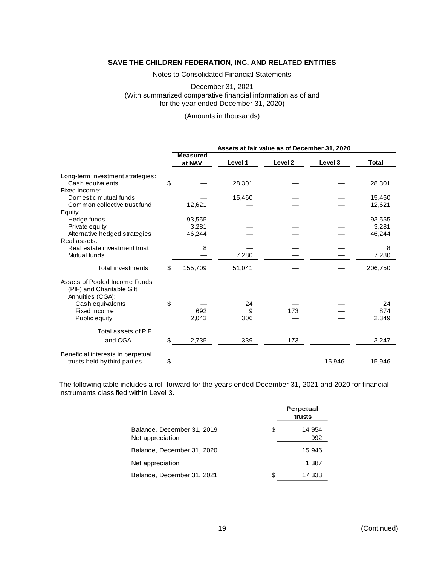Notes to Consolidated Financial Statements

# December 31, 2021 (With summarized comparative financial information as of and for the year ended December 31, 2020)

# (Amounts in thousands)

|                                                                                | Assets at fair value as of December 31, 2020 |                 |         |                    |         |              |  |
|--------------------------------------------------------------------------------|----------------------------------------------|-----------------|---------|--------------------|---------|--------------|--|
|                                                                                |                                              | <b>Measured</b> |         |                    |         |              |  |
|                                                                                |                                              | at NAV          | Level 1 | Level <sub>2</sub> | Level 3 | <b>Total</b> |  |
| Long-term investment strategies:                                               |                                              |                 |         |                    |         |              |  |
| Cash equivalents                                                               | \$                                           |                 | 28,301  |                    |         | 28,301       |  |
| Fixed income:                                                                  |                                              |                 |         |                    |         |              |  |
| Domestic mutual funds                                                          |                                              |                 | 15,460  |                    |         | 15,460       |  |
| Common collective trust fund                                                   |                                              | 12,621          |         |                    |         | 12,621       |  |
| Equity:                                                                        |                                              |                 |         |                    |         |              |  |
| Hedge funds                                                                    |                                              | 93,555          |         |                    |         | 93,555       |  |
| Private equity                                                                 |                                              | 3,281           |         |                    |         | 3,281        |  |
| Alternative hedged strategies                                                  |                                              | 46,244          |         |                    |         | 46,244       |  |
| Real assets:                                                                   |                                              |                 |         |                    |         |              |  |
| Real estate investment trust                                                   |                                              | 8               |         |                    |         | 8            |  |
| Mutual funds                                                                   |                                              |                 | 7,280   |                    |         | 7,280        |  |
| Total investments                                                              | \$                                           | 155,709         | 51,041  |                    |         | 206,750      |  |
| Assets of Pooled Income Funds<br>(PIF) and Charitable Gift<br>Annuities (CGA): |                                              |                 |         |                    |         |              |  |
| Cash equivalents                                                               | \$                                           |                 | 24      |                    |         | 24           |  |
| Fixed income                                                                   |                                              | 692             | 9       | 173                |         | 874          |  |
| Public equity                                                                  |                                              | 2,043           | 306     |                    |         | 2,349        |  |
| <b>Total assets of PIF</b>                                                     |                                              |                 |         |                    |         |              |  |
| and CGA                                                                        | \$                                           | 2,735           | 339     | 173                |         | 3,247        |  |
| Beneficial interests in perpetual<br>trusts held by third parties              | \$                                           |                 |         |                    | 15,946  | 15,946       |  |

The following table includes a roll-forward for the years ended December 31, 2021 and 2020 for financial instruments classified within Level 3.

|                                                | Perpetual<br>trusts |
|------------------------------------------------|---------------------|
| Balance, December 31, 2019<br>Net appreciation | \$<br>14,954<br>992 |
| Balance, December 31, 2020                     | 15.946              |
| Net appreciation                               | 1,387               |
| Balance, December 31, 2021                     | 17.333              |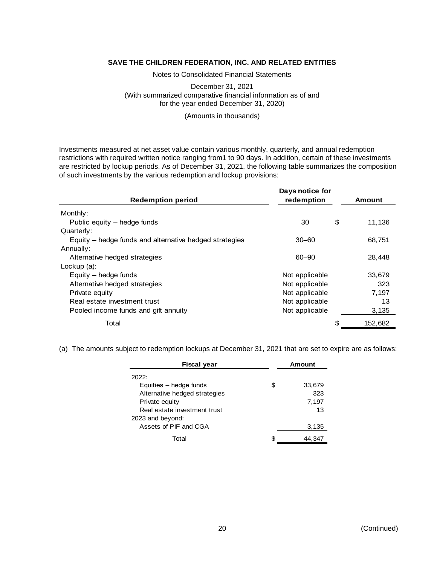Notes to Consolidated Financial Statements

December 31, 2021 (With summarized comparative financial information as of and for the year ended December 31, 2020)

(Amounts in thousands)

Investments measured at net asset value contain various monthly, quarterly, and annual redemption restrictions with required written notice ranging from1 to 90 days. In addition, certain of these investments are restricted by lockup periods. As of December 31, 2021, the following table summarizes the composition of such investments by the various redemption and lockup provisions:

|                                                          | Days notice for |               |
|----------------------------------------------------------|-----------------|---------------|
| <b>Redemption period</b>                                 | redemption      | Amount        |
| Monthly:                                                 |                 |               |
| Public equity - hedge funds                              | 30              | \$<br>11,136  |
| Quarterly:                                               |                 |               |
| Equity $-$ hedge funds and alternative hedged strategies | $30 - 60$       | 68,751        |
| Annually:                                                |                 |               |
| Alternative hedged strategies                            | $60 - 90$       | 28.448        |
| Lockup $(a)$ :                                           |                 |               |
| Equity $-$ hedge funds                                   | Not applicable  | 33,679        |
| Alternative hedged strategies                            | Not applicable  | 323           |
| Private equity                                           | Not applicable  | 7.197         |
| Real estate investment trust                             | Not applicable  | 13            |
| Pooled income funds and gift annuity                     | Not applicable  | 3,135         |
| Total                                                    |                 | \$<br>152,682 |

(a) The amounts subject to redemption lockups at December 31, 2021 that are set to expire are as follows:

| Fiscal year                   |   | Amount |
|-------------------------------|---|--------|
| 2022:                         |   |        |
| Equities – hedge funds        | S | 33,679 |
| Alternative hedged strategies |   | 323    |
| Private equity                |   | 7,197  |
| Real estate investment trust  |   | 13     |
| 2023 and beyond:              |   |        |
| Assets of PIF and CGA         |   | 3,135  |
| Total                         |   |        |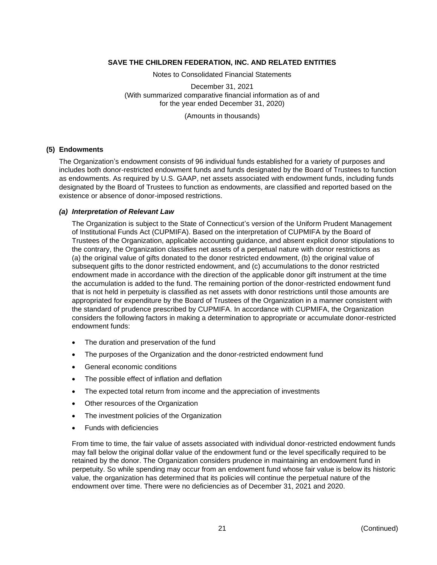Notes to Consolidated Financial Statements

December 31, 2021 (With summarized comparative financial information as of and for the year ended December 31, 2020)

(Amounts in thousands)

#### **(5) Endowments**

The Organization's endowment consists of 96 individual funds established for a variety of purposes and includes both donor-restricted endowment funds and funds designated by the Board of Trustees to function as endowments. As required by U.S. GAAP, net assets associated with endowment funds, including funds designated by the Board of Trustees to function as endowments, are classified and reported based on the existence or absence of donor-imposed restrictions.

#### *(a) Interpretation of Relevant Law*

The Organization is subject to the State of Connecticut's version of the Uniform Prudent Management of Institutional Funds Act (CUPMIFA). Based on the interpretation of CUPMIFA by the Board of Trustees of the Organization, applicable accounting guidance, and absent explicit donor stipulations to the contrary, the Organization classifies net assets of a perpetual nature with donor restrictions as (a) the original value of gifts donated to the donor restricted endowment, (b) the original value of subsequent gifts to the donor restricted endowment, and (c) accumulations to the donor restricted endowment made in accordance with the direction of the applicable donor gift instrument at the time the accumulation is added to the fund. The remaining portion of the donor-restricted endowment fund that is not held in perpetuity is classified as net assets with donor restrictions until those amounts are appropriated for expenditure by the Board of Trustees of the Organization in a manner consistent with the standard of prudence prescribed by CUPMIFA. In accordance with CUPMIFA, the Organization considers the following factors in making a determination to appropriate or accumulate donor-restricted endowment funds:

- The duration and preservation of the fund
- The purposes of the Organization and the donor-restricted endowment fund
- General economic conditions
- The possible effect of inflation and deflation
- The expected total return from income and the appreciation of investments
- Other resources of the Organization
- The investment policies of the Organization
- Funds with deficiencies

From time to time, the fair value of assets associated with individual donor-restricted endowment funds may fall below the original dollar value of the endowment fund or the level specifically required to be retained by the donor. The Organization considers prudence in maintaining an endowment fund in perpetuity. So while spending may occur from an endowment fund whose fair value is below its historic value, the organization has determined that its policies will continue the perpetual nature of the endowment over time. There were no deficiencies as of December 31, 2021 and 2020.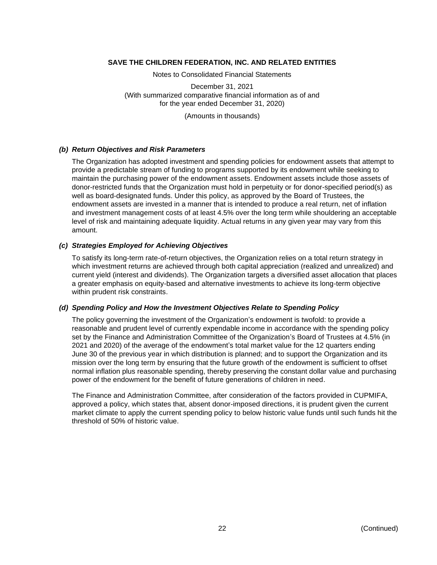Notes to Consolidated Financial Statements

December 31, 2021 (With summarized comparative financial information as of and for the year ended December 31, 2020)

(Amounts in thousands)

# *(b) Return Objectives and Risk Parameters*

The Organization has adopted investment and spending policies for endowment assets that attempt to provide a predictable stream of funding to programs supported by its endowment while seeking to maintain the purchasing power of the endowment assets. Endowment assets include those assets of donor-restricted funds that the Organization must hold in perpetuity or for donor-specified period(s) as well as board-designated funds. Under this policy, as approved by the Board of Trustees, the endowment assets are invested in a manner that is intended to produce a real return, net of inflation and investment management costs of at least 4.5% over the long term while shouldering an acceptable level of risk and maintaining adequate liquidity. Actual returns in any given year may vary from this amount.

# *(c) Strategies Employed for Achieving Objectives*

To satisfy its long-term rate-of-return objectives, the Organization relies on a total return strategy in which investment returns are achieved through both capital appreciation (realized and unrealized) and current yield (interest and dividends). The Organization targets a diversified asset allocation that places a greater emphasis on equity-based and alternative investments to achieve its long-term objective within prudent risk constraints.

#### *(d) Spending Policy and How the Investment Objectives Relate to Spending Policy*

The policy governing the investment of the Organization's endowment is twofold: to provide a reasonable and prudent level of currently expendable income in accordance with the spending policy set by the Finance and Administration Committee of the Organization's Board of Trustees at 4.5% (in 2021 and 2020) of the average of the endowment's total market value for the 12 quarters ending June 30 of the previous year in which distribution is planned; and to support the Organization and its mission over the long term by ensuring that the future growth of the endowment is sufficient to offset normal inflation plus reasonable spending, thereby preserving the constant dollar value and purchasing power of the endowment for the benefit of future generations of children in need.

The Finance and Administration Committee, after consideration of the factors provided in CUPMIFA, approved a policy, which states that, absent donor-imposed directions, it is prudent given the current market climate to apply the current spending policy to below historic value funds until such funds hit the threshold of 50% of historic value.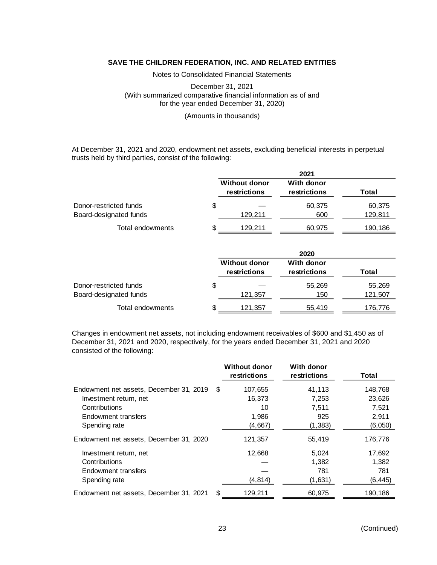Notes to Consolidated Financial Statements

December 31, 2021 (With summarized comparative financial information as of and for the year ended December 31, 2020)

(Amounts in thousands)

At December 31, 2021 and 2020, endowment net assets, excluding beneficial interests in perpetual trusts held by third parties, consist of the following:

|                        | 2021 |                                      |                            |         |
|------------------------|------|--------------------------------------|----------------------------|---------|
|                        |      | <b>Without donor</b><br>restrictions | With donor<br>restrictions | Total   |
| Donor-restricted funds | \$   |                                      | 60,375                     | 60,375  |
| Board-designated funds |      | 129,211                              | 600                        | 129,811 |
| Total endowments       | S    | 129.211                              | 60.975                     | 190,186 |

|                        |    | 2020                                 |                            |         |
|------------------------|----|--------------------------------------|----------------------------|---------|
|                        |    | <b>Without donor</b><br>restrictions | With donor<br>restrictions | Total   |
| Donor-restricted funds | \$ |                                      | 55,269                     | 55,269  |
| Board-designated funds |    | 121,357                              | 150                        | 121,507 |
| Total endowments       | S  | 121,357                              | 55.419                     | 176,776 |

Changes in endowment net assets, not including endowment receivables of \$600 and \$1,450 as of December 31, 2021 and 2020, respectively, for the years ended December 31, 2021 and 2020 consisted of the following:

|                                         | <b>Without donor</b><br>restrictions | <b>With donor</b><br>restrictions | Total    |
|-----------------------------------------|--------------------------------------|-----------------------------------|----------|
| Endowment net assets, December 31, 2019 | S<br>107,655                         | 41,113                            | 148,768  |
| Investment return, net                  | 16,373                               | 7,253                             | 23,626   |
| Contributions                           | 10                                   | 7.511                             | 7.521    |
| Endowment transfers                     | 1,986                                | 925                               | 2,911    |
| Spending rate                           | (4,667)                              | (1, 383)                          | (6,050)  |
| Endowment net assets, December 31, 2020 | 121,357                              | 55,419                            | 176,776  |
| Investment return, net                  | 12,668                               | 5,024                             | 17,692   |
| Contributions                           |                                      | 1.382                             | 1,382    |
| Endowment transfers                     |                                      | 781                               | 781      |
| Spending rate                           | (4, 814)                             | (1,631)                           | (6, 445) |
| Endowment net assets, December 31, 2021 | \$<br>129,211                        | 60,975                            | 190.186  |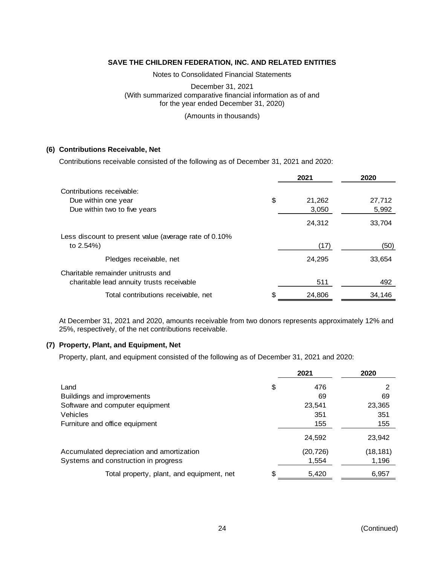Notes to Consolidated Financial Statements

December 31, 2021 (With summarized comparative financial information as of and for the year ended December 31, 2020)

(Amounts in thousands)

# **(6) Contributions Receivable, Net**

Contributions receivable consisted of the following as of December 31, 2021 and 2020:

|                                                                                 |    | 2021   | 2020   |
|---------------------------------------------------------------------------------|----|--------|--------|
| Contributions receivable:                                                       |    |        |        |
| Due within one year                                                             | \$ | 21,262 | 27,712 |
| Due within two to five years                                                    |    | 3,050  | 5,992  |
|                                                                                 |    | 24,312 | 33,704 |
| Less discount to present value (average rate of 0.10%<br>to $2.54%$             |    | (17)   | (50)   |
| Pledges receivable, net                                                         |    | 24,295 | 33,654 |
| Charitable remainder unitrusts and<br>charitable lead annuity trusts receivable |    | 511    | 492    |
| Total contributions receivable, net                                             | S  | 24,806 | 34,146 |

At December 31, 2021 and 2020, amounts receivable from two donors represents approximately 12% and 25%, respectively, of the net contributions receivable.

# **(7) Property, Plant, and Equipment, Net**

Property, plant, and equipment consisted of the following as of December 31, 2021 and 2020:

|                                           |    | 2021      | 2020      |
|-------------------------------------------|----|-----------|-----------|
| Land                                      | \$ | 476       | 2         |
| Buildings and improvements                |    | 69        | 69        |
| Software and computer equipment           |    | 23,541    | 23,365    |
| Vehicles                                  |    | 351       | 351       |
| Furniture and office equipment            |    | 155       | 155       |
|                                           |    | 24,592    | 23,942    |
| Accumulated depreciation and amortization |    | (20, 726) | (18, 181) |
| Systems and construction in progress      |    | 1,554     | 1,196     |
| Total property, plant, and equipment, net | S  | 5,420     | 6,957     |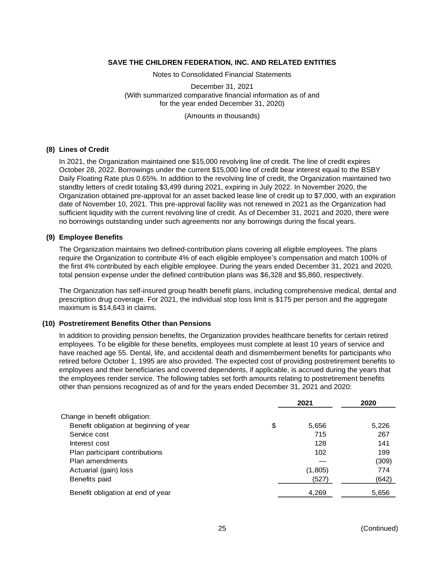Notes to Consolidated Financial Statements

December 31, 2021 (With summarized comparative financial information as of and for the year ended December 31, 2020)

(Amounts in thousands)

#### **(8) Lines of Credit**

In 2021, the Organization maintained one \$15,000 revolving line of credit. The line of credit expires October 28, 2022. Borrowings under the current \$15,000 line of credit bear interest equal to the BSBY Daily Floating Rate plus 0.65%. In addition to the revolving line of credit, the Organization maintained two standby letters of credit totaling \$3,499 during 2021, expiring in July 2022. In November 2020, the Organization obtained pre-approval for an asset backed lease line of credit up to \$7,000, with an expiration date of November 10, 2021. This pre-approval facility was not renewed in 2021 as the Organization had sufficient liquidity with the current revolving line of credit. As of December 31, 2021 and 2020, there were no borrowings outstanding under such agreements nor any borrowings during the fiscal years.

# **(9) Employee Benefits**

The Organization maintains two defined-contribution plans covering all eligible employees. The plans require the Organization to contribute 4% of each eligible employee's compensation and match 100% of the first 4% contributed by each eligible employee. During the years ended December 31, 2021 and 2020, total pension expense under the defined contribution plans was \$6,328 and \$5,860, respectively.

The Organization has self-insured group health benefit plans, including comprehensive medical, dental and prescription drug coverage. For 2021, the individual stop loss limit is \$175 per person and the aggregate maximum is \$14,643 in claims.

#### **(10) Postretirement Benefits Other than Pensions**

In addition to providing pension benefits, the Organization provides healthcare benefits for certain retired employees. To be eligible for these benefits, employees must complete at least 10 years of service and have reached age 55. Dental, life, and accidental death and dismemberment benefits for participants who retired before October 1, 1995 are also provided. The expected cost of providing postretirement benefits to employees and their beneficiaries and covered dependents, if applicable, is accrued during the years that the employees render service. The following tables set forth amounts relating to postretirement benefits other than pensions recognized as of and for the years ended December 31, 2021 and 2020:

| 5,226 |
|-------|
| 267   |
| 141   |
| 199   |
| (309) |
| 774   |
| (642) |
| 5,656 |
|       |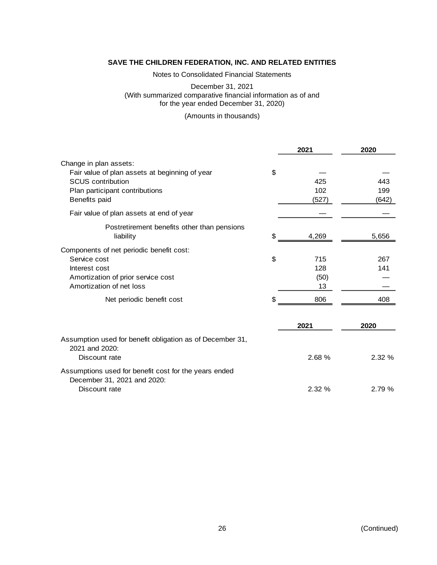Notes to Consolidated Financial Statements

December 31, 2021 (With summarized comparative financial information as of and for the year ended December 31, 2020)

(Amounts in thousands)

|                                                                                                                                                                          |          | 2021                            | 2020                |
|--------------------------------------------------------------------------------------------------------------------------------------------------------------------------|----------|---------------------------------|---------------------|
| Change in plan assets:<br>Fair value of plan assets at beginning of year<br><b>SCUS</b> contribution<br>Plan participant contributions<br>Benefits paid                  | \$       | 425<br>102<br>(527)             | 443<br>199<br>(642) |
| Fair value of plan assets at end of year                                                                                                                                 |          |                                 |                     |
| Postretirement benefits other than pensions<br>liability                                                                                                                 | \$       | 4,269                           | 5,656               |
| Components of net periodic benefit cost:<br>Service cost<br>Interest cost<br>Amortization of prior service cost<br>Amortization of net loss<br>Net periodic benefit cost | \$<br>\$ | 715<br>128<br>(50)<br>13<br>806 | 267<br>141<br>408   |
|                                                                                                                                                                          |          | 2021                            | 2020                |
| Assumption used for benefit obligation as of December 31,<br>2021 and 2020:<br>Discount rate                                                                             |          | 2.68%                           | 2.32%               |
| Assumptions used for benefit cost for the years ended<br>December 31, 2021 and 2020:<br>Discount rate                                                                    |          | 2.32%                           | 2.79 %              |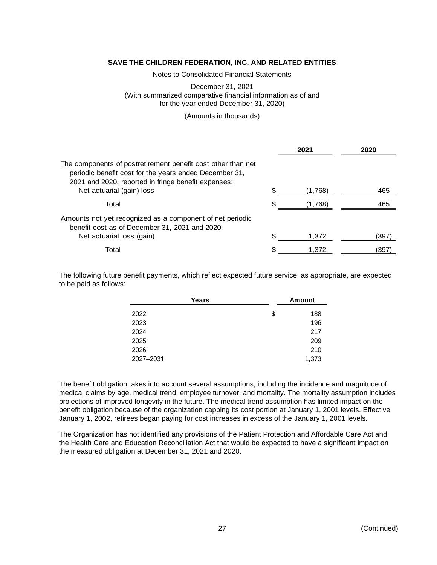Notes to Consolidated Financial Statements

December 31, 2021 (With summarized comparative financial information as of and for the year ended December 31, 2020)

(Amounts in thousands)

|                                                                                                                                                                                                            |    | 2021    | 2020  |
|------------------------------------------------------------------------------------------------------------------------------------------------------------------------------------------------------------|----|---------|-------|
| The components of postretirement benefit cost other than net<br>periodic benefit cost for the years ended December 31,<br>2021 and 2020, reported in fringe benefit expenses:<br>Net actuarial (gain) loss | S  | (1,768) | 465   |
| Total                                                                                                                                                                                                      | S. | (1,768) | 465   |
| Amounts not yet recognized as a component of net periodic<br>benefit cost as of December 31, 2021 and 2020:<br>Net actuarial loss (gain)                                                                   |    | 1,372   | (397) |
| Total                                                                                                                                                                                                      | \$ | 1.372   | (397) |

The following future benefit payments, which reflect expected future service, as appropriate, are expected to be paid as follows:

|           | Years | <b>Amount</b> |
|-----------|-------|---------------|
| 2022      | \$    | 188           |
| 2023      |       | 196           |
| 2024      |       | 217           |
| 2025      |       | 209           |
| 2026      |       | 210           |
| 2027-2031 |       | 1,373         |

The benefit obligation takes into account several assumptions, including the incidence and magnitude of medical claims by age, medical trend, employee turnover, and mortality. The mortality assumption includes projections of improved longevity in the future. The medical trend assumption has limited impact on the benefit obligation because of the organization capping its cost portion at January 1, 2001 levels. Effective January 1, 2002, retirees began paying for cost increases in excess of the January 1, 2001 levels.

The Organization has not identified any provisions of the Patient Protection and Affordable Care Act and the Health Care and Education Reconciliation Act that would be expected to have a significant impact on the measured obligation at December 31, 2021 and 2020.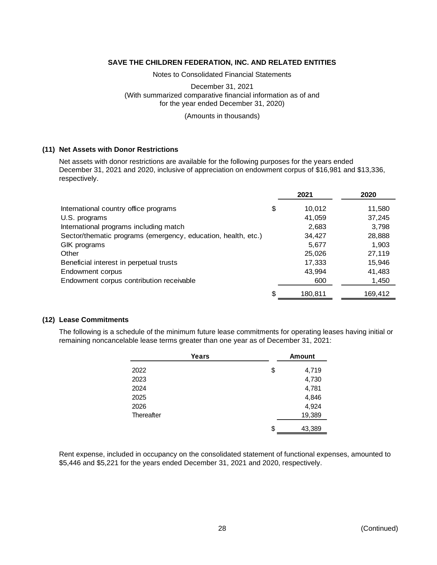Notes to Consolidated Financial Statements

December 31, 2021 (With summarized comparative financial information as of and for the year ended December 31, 2020)

(Amounts in thousands)

# **(11) Net Assets with Donor Restrictions**

Net assets with donor restrictions are available for the following purposes for the years ended December 31, 2021 and 2020, inclusive of appreciation on endowment corpus of \$16,981 and \$13,336, respectively.

|                                                               | 2021          | 2020    |
|---------------------------------------------------------------|---------------|---------|
| International country office programs                         | \$<br>10,012  | 11,580  |
| U.S. programs                                                 | 41,059        | 37,245  |
| International programs including match                        | 2,683         | 3,798   |
| Sector/thematic programs (emergency, education, health, etc.) | 34,427        | 28,888  |
| GIK programs                                                  | 5,677         | 1,903   |
| Other                                                         | 25,026        | 27,119  |
| Beneficial interest in perpetual trusts                       | 17,333        | 15,946  |
| Endowment corpus                                              | 43,994        | 41,483  |
| Endowment corpus contribution receivable                      | 600           | 1,450   |
|                                                               | \$<br>180,811 | 169,412 |

#### **(12) Lease Commitments**

The following is a schedule of the minimum future lease commitments for operating leases having initial or remaining noncancelable lease terms greater than one year as of December 31, 2021:

| Years      | <b>Amount</b> |
|------------|---------------|
| 2022       | \$<br>4,719   |
| 2023       | 4,730         |
| 2024       | 4,781         |
| 2025       | 4,846         |
| 2026       | 4,924         |
| Thereafter | 19,389        |
|            | \$<br>43,389  |

Rent expense, included in occupancy on the consolidated statement of functional expenses, amounted to \$5,446 and \$5,221 for the years ended December 31, 2021 and 2020, respectively.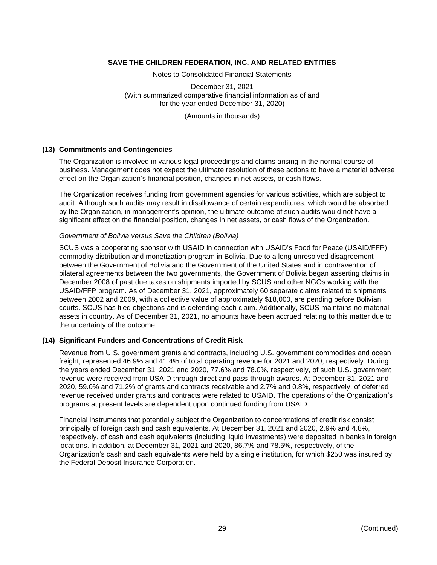Notes to Consolidated Financial Statements

December 31, 2021 (With summarized comparative financial information as of and for the year ended December 31, 2020)

(Amounts in thousands)

# **(13) Commitments and Contingencies**

The Organization is involved in various legal proceedings and claims arising in the normal course of business. Management does not expect the ultimate resolution of these actions to have a material adverse effect on the Organization's financial position, changes in net assets, or cash flows.

The Organization receives funding from government agencies for various activities, which are subject to audit. Although such audits may result in disallowance of certain expenditures, which would be absorbed by the Organization, in management's opinion, the ultimate outcome of such audits would not have a significant effect on the financial position, changes in net assets, or cash flows of the Organization.

#### *Government of Bolivia versus Save the Children (Bolivia)*

SCUS was a cooperating sponsor with USAID in connection with USAID's Food for Peace (USAID/FFP) commodity distribution and monetization program in Bolivia. Due to a long unresolved disagreement between the Government of Bolivia and the Government of the United States and in contravention of bilateral agreements between the two governments, the Government of Bolivia began asserting claims in December 2008 of past due taxes on shipments imported by SCUS and other NGOs working with the USAID/FFP program. As of December 31, 2021, approximately 60 separate claims related to shipments between 2002 and 2009, with a collective value of approximately \$18,000, are pending before Bolivian courts. SCUS has filed objections and is defending each claim. Additionally, SCUS maintains no material assets in country. As of December 31, 2021, no amounts have been accrued relating to this matter due to the uncertainty of the outcome.

#### **(14) Significant Funders and Concentrations of Credit Risk**

Revenue from U.S. government grants and contracts, including U.S. government commodities and ocean freight, represented 46.9% and 41.4% of total operating revenue for 2021 and 2020, respectively. During the years ended December 31, 2021 and 2020, 77.6% and 78.0%, respectively, of such U.S. government revenue were received from USAID through direct and pass‑through awards. At December 31, 2021 and 2020, 59.0% and 71.2% of grants and contracts receivable and 2.7% and 0.8%, respectively, of deferred revenue received under grants and contracts were related to USAID. The operations of the Organization's programs at present levels are dependent upon continued funding from USAID.

Financial instruments that potentially subject the Organization to concentrations of credit risk consist principally of foreign cash and cash equivalents. At December 31, 2021 and 2020, 2.9% and 4.8%, respectively, of cash and cash equivalents (including liquid investments) were deposited in banks in foreign locations. In addition, at December 31, 2021 and 2020, 86.7% and 78.5%, respectively, of the Organization's cash and cash equivalents were held by a single institution, for which \$250 was insured by the Federal Deposit Insurance Corporation.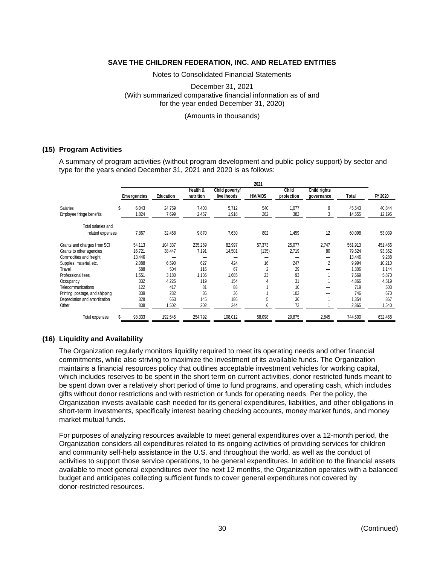Notes to Consolidated Financial Statements

December 31, 2021 (With summarized comparative financial information as of and for the year ended December 31, 2020)

(Amounts in thousands)

#### **(15) Program Activities**

A summary of program activities (without program development and public policy support) by sector and type for the years ended December 31, 2021 and 2020 is as follows:

|                                 | 2021 |             |                  |                       |                               |                 |                     |                            |         |         |
|---------------------------------|------|-------------|------------------|-----------------------|-------------------------------|-----------------|---------------------|----------------------------|---------|---------|
|                                 |      | Emergencies | <b>Education</b> | Health &<br>nutrition | Child poverty/<br>livelihoods | <b>HIV/AIDS</b> | Child<br>protection | Child rights<br>governance | Total   | FY 2020 |
| <b>Salaries</b>                 | \$   | 6,043       | 24,759           | 7,403                 | 5,712                         | 540             | 1,077               | 9                          | 45,543  | 40,844  |
| Employee fringe benefits        |      | 1,824       | 7,699            | 2,467                 | 1,918                         | 262             | 382                 | 3                          | 14,555  | 12,195  |
| Total salaries and              |      |             |                  |                       |                               |                 |                     |                            |         |         |
| related expenses                |      | 7,867       | 32,458           | 9,870                 | 7,630                         | 802             | 1,459               | 12                         | 60,098  | 53,039  |
| Grants and charges from SCI     |      | 54,113      | 104,337          | 235,269               | 82,997                        | 57,373          | 25,077              | 2,747                      | 561,913 | 451,466 |
| Grants to other agencies        |      | 16,721      | 38,447           | 7,191                 | 14,501                        | (135)           | 2,719               | 80                         | 79,524  | 93,352  |
| Commodities and freight         |      | 13,446      |                  |                       |                               |                 |                     |                            | 13,446  | 9,288   |
| Supplies, material, etc.        |      | 2,088       | 6,590            | 627                   | 424                           | 16              | 247                 | $\overline{2}$             | 9,994   | 10,210  |
| Travel                          |      | 588         | 504              | 116                   | 67                            | $\overline{2}$  | 29                  |                            | 1,306   | 1,144   |
| Professional fees               |      | ,551        | 3,180            | 1,136                 | 1,685                         | 23              | 93                  |                            | 7,669   | 5,870   |
| Occupancy                       |      | 332         | 4,225            | 119                   | 154                           | 4               | 31                  |                            | 4,866   | 4,519   |
| Telecommunications              |      | 122         | 417              | 81                    | 88                            |                 | 10                  |                            | 719     | 503     |
| Printing, postage, and shipping |      | 339         | 232              | 36                    | 36                            |                 | 102                 |                            | 746     | 670     |
| Depreciation and amortization   |      | 328         | 653              | 145                   | 186                           | 5               | 36                  |                            | 1,354   | 867     |
| Other                           |      | 838         | 1,502            | 202                   | 244                           | 6               | 72                  |                            | 2,865   | 1,540   |
| Total expenses                  |      | 98,333      | 192,545          | 254,792               | 108,012                       | 58,098          | 29,875              | 2,845                      | 744,500 | 632,468 |

# **(16) Liquidity and Availability**

The Organization regularly monitors liquidity required to meet its operating needs and other financial commitments, while also striving to maximize the investment of its available funds. The Organization maintains a financial resources policy that outlines acceptable investment vehicles for working capital, which includes reserves to be spent in the short term on current activities, donor restricted funds meant to be spent down over a relatively short period of time to fund programs, and operating cash, which includes gifts without donor restrictions and with restriction or funds for operating needs. Per the policy, the Organization invests available cash needed for its general expenditures, liabilities, and other obligations in short-term investments, specifically interest bearing checking accounts, money market funds, and money market mutual funds.

For purposes of analyzing resources available to meet general expenditures over a 12-month period, the Organization considers all expenditures related to its ongoing activities of providing services for children and community self-help assistance in the U.S. and throughout the world, as well as the conduct of activities to support those service operations, to be general expenditures. In addition to the financial assets available to meet general expenditures over the next 12 months, the Organization operates with a balanced budget and anticipates collecting sufficient funds to cover general expenditures not covered by donor-restricted resources.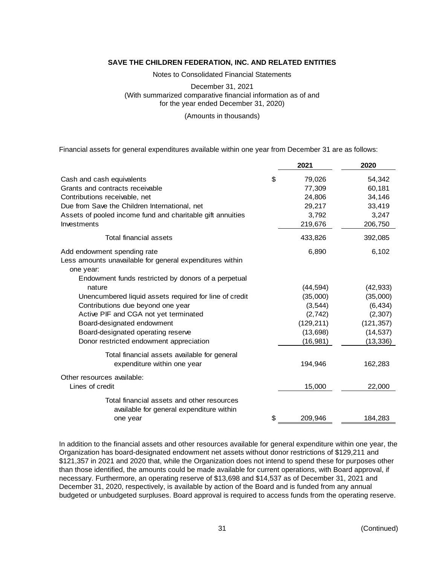Notes to Consolidated Financial Statements

December 31, 2021 (With summarized comparative financial information as of and for the year ended December 31, 2020)

(Amounts in thousands)

Financial assets for general expenditures available within one year from December 31 are as follows:

|                                                                                        | 2021          | 2020       |
|----------------------------------------------------------------------------------------|---------------|------------|
| Cash and cash equivalents                                                              | \$<br>79,026  | 54,342     |
| Grants and contracts receivable                                                        | 77,309        | 60,181     |
| Contributions receivable, net                                                          | 24,806        | 34,146     |
| Due from Save the Children International, net                                          | 29,217        | 33,419     |
| Assets of pooled income fund and charitable gift annuities                             | 3,792         | 3,247      |
| Investments                                                                            | 219,676       | 206,750    |
| Total financial assets                                                                 | 433,826       | 392,085    |
| Add endowment spending rate                                                            | 6,890         | 6,102      |
| Less amounts unavailable for general expenditures within                               |               |            |
| one year:                                                                              |               |            |
| Endowment funds restricted by donors of a perpetual                                    |               |            |
| nature                                                                                 | (44, 594)     | (42, 933)  |
| Unencumbered liquid assets required for line of credit                                 | (35,000)      | (35,000)   |
| Contributions due beyond one year                                                      | (3, 544)      | (6, 434)   |
| Active PIF and CGA not yet terminated                                                  | (2,742)       | (2, 307)   |
| Board-designated endowment                                                             | (129, 211)    | (121, 357) |
| Board-designated operating reserve                                                     | (13, 698)     | (14, 537)  |
| Donor restricted endowment appreciation                                                | (16, 981)     | (13, 336)  |
| Total financial assets available for general                                           |               |            |
| expenditure within one year                                                            | 194,946       | 162,283    |
| Other resources available:                                                             |               |            |
| Lines of credit                                                                        | 15,000        | 22,000     |
| Total financial assets and other resources<br>available for general expenditure within |               |            |
| one year                                                                               | \$<br>209,946 | 184,283    |

In addition to the financial assets and other resources available for general expenditure within one year, the Organization has board-designated endowment net assets without donor restrictions of \$129,211 and \$121,357 in 2021 and 2020 that, while the Organization does not intend to spend these for purposes other than those identified, the amounts could be made available for current operations, with Board approval, if necessary. Furthermore, an operating reserve of \$13,698 and \$14,537 as of December 31, 2021 and December 31, 2020, respectively, is available by action of the Board and is funded from any annual budgeted or unbudgeted surpluses. Board approval is required to access funds from the operating reserve.